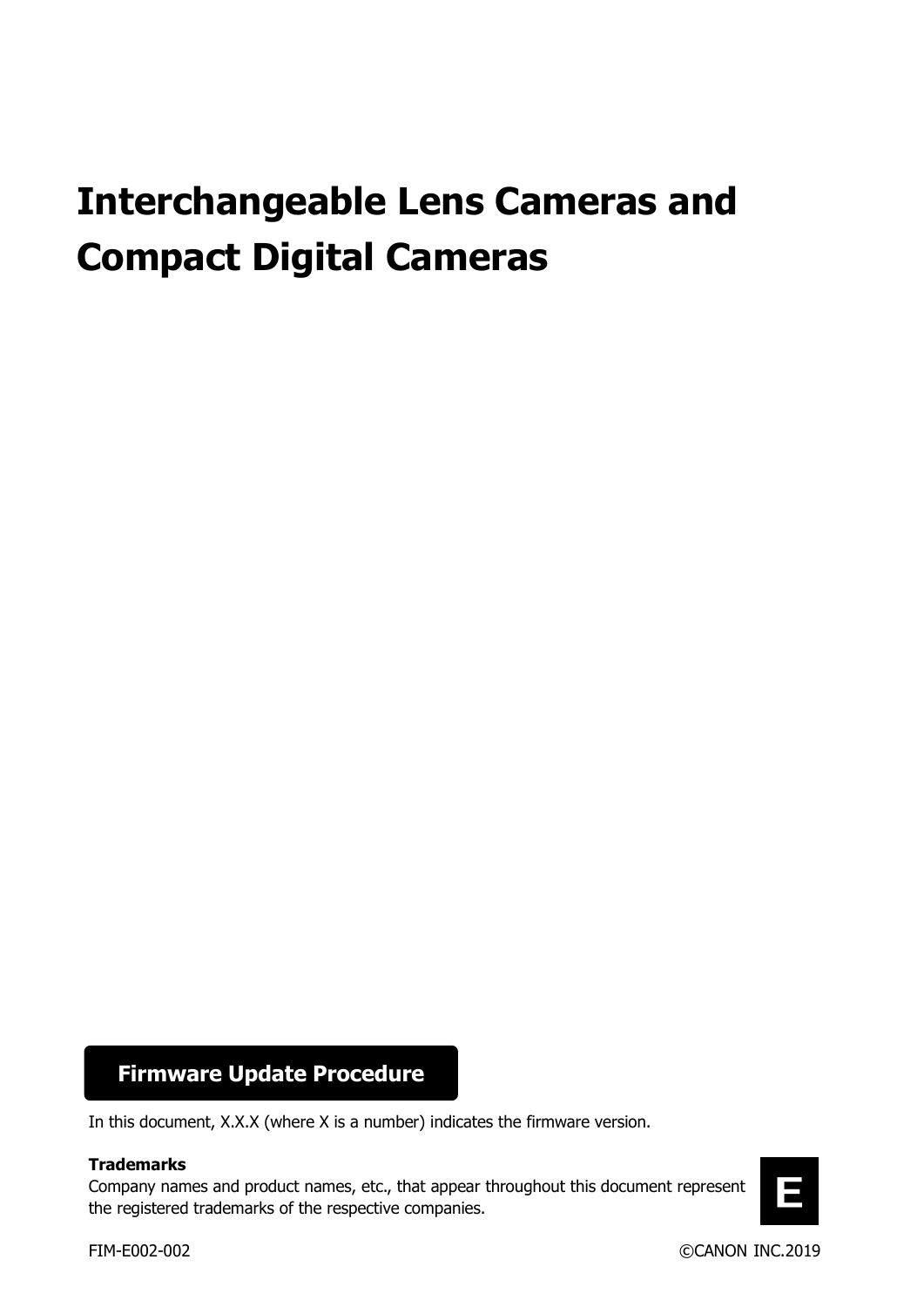# **Interchangeable Lens Cameras and Compact Digital Cameras**

# **Firmware Update Procedure**

In this document, X.X.X (where X is a number) indicates the firmware version.

### **Trademarks**

Company names and product names, etc., that appear throughout this document represent the registered trademarks of the respective companies.

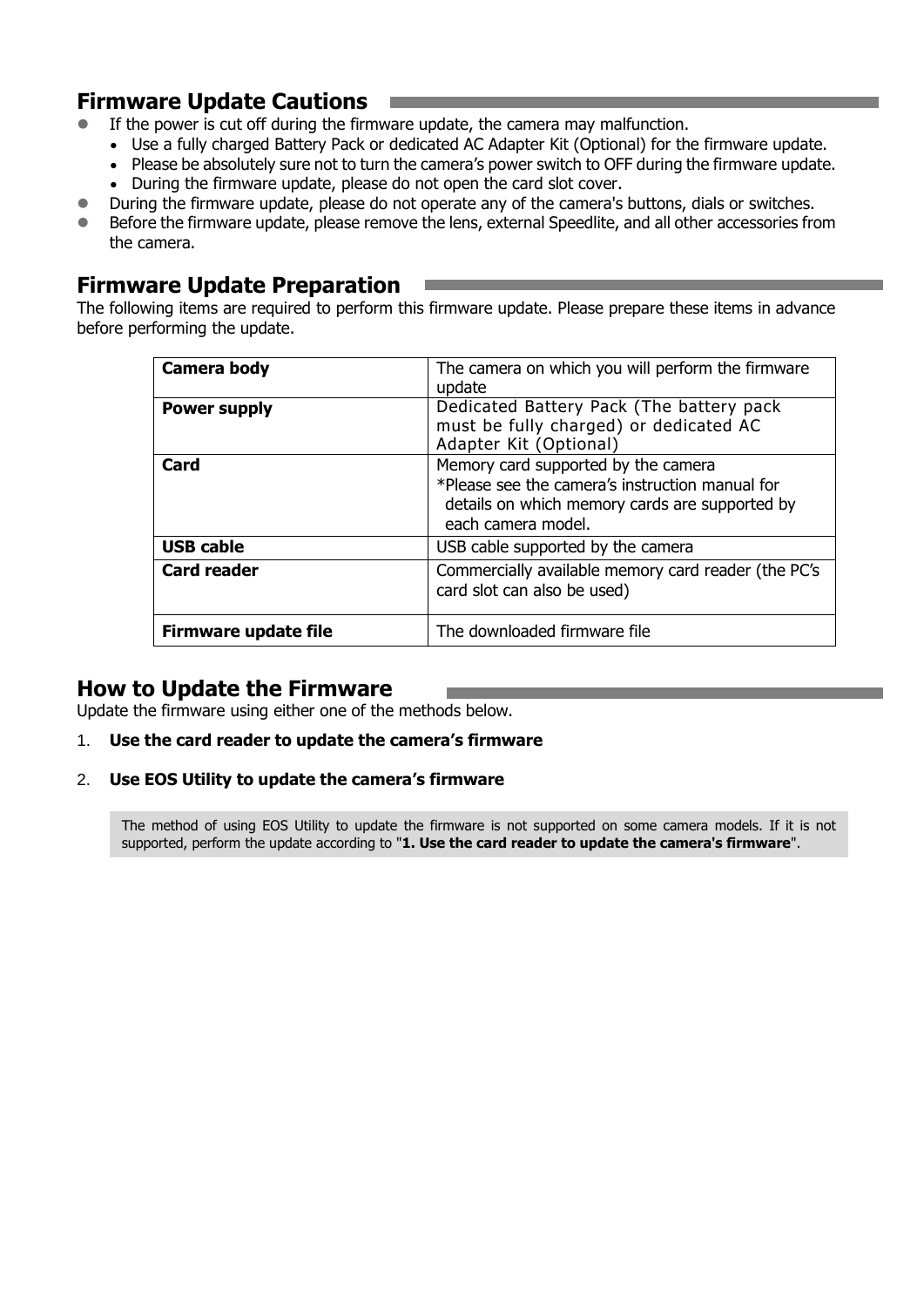# **Firmware Update Cautions**

- If the power is cut off during the firmware update, the camera may malfunction.
	- Use a fully charged Battery Pack or dedicated AC Adapter Kit (Optional) for the firmware update.
	- Please be absolutely sure not to turn the camera's power switch to OFF during the firmware update.
	- During the firmware update, please do not open the card slot cover.
- During the firmware update, please do not operate any of the camera's buttons, dials or switches.
- Before the firmware update, please remove the lens, external Speedlite, and all other accessories from the camera.

## **Firmware Update Preparation**

The following items are required to perform this firmware update. Please prepare these items in advance before performing the update.

| Camera body                 | The camera on which you will perform the firmware<br>update                                                                                                    |
|-----------------------------|----------------------------------------------------------------------------------------------------------------------------------------------------------------|
| <b>Power supply</b>         | Dedicated Battery Pack (The battery pack<br>must be fully charged) or dedicated AC<br>Adapter Kit (Optional)                                                   |
| Card                        | Memory card supported by the camera<br>*Please see the camera's instruction manual for<br>details on which memory cards are supported by<br>each camera model. |
| <b>USB cable</b>            | USB cable supported by the camera                                                                                                                              |
| <b>Card reader</b>          | Commercially available memory card reader (the PC's<br>card slot can also be used)                                                                             |
| <b>Firmware update file</b> | The downloaded firmware file                                                                                                                                   |

## **How to Update the Firmware**

Update the firmware using either one of the methods below.

- 1. **Use the card reader to update the camera's firmware**
- 2. **Use EOS Utility to update the camera's firmware**

The method of using EOS Utility to update the firmware is not supported on some camera models. If it is not supported, perform the update according to "**1. Use the card reader to update the camera's firmware**".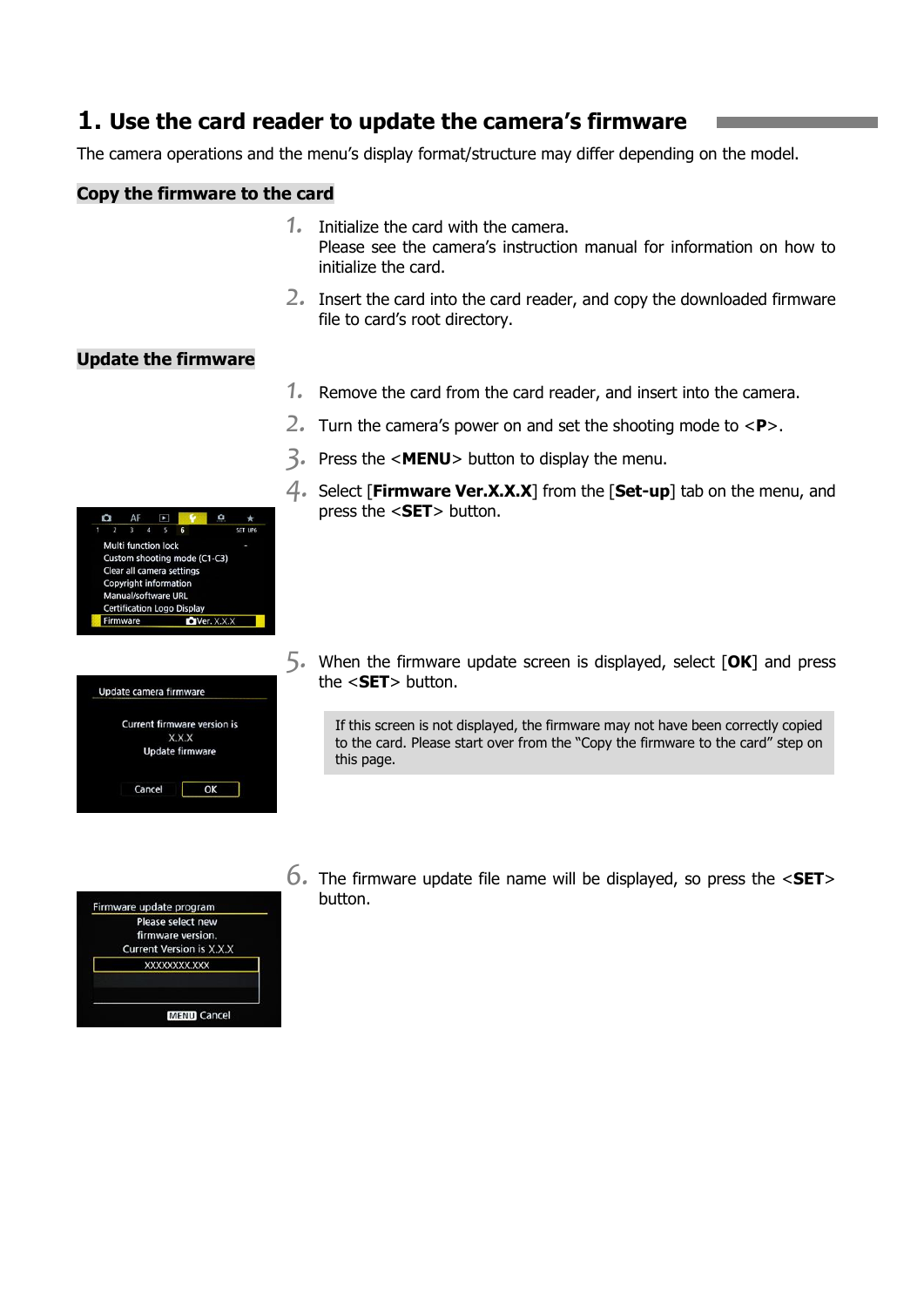# **1. Use the card reader to update the camera's firmware**

The camera operations and the menu's display format/structure may differ depending on the model.

## **Copy the firmware to the card**

- *1.* Initialize the card with the camera. Please see the camera's instruction manual for information on how to initialize the card.
- *2.* Insert the card into the card reader, and copy the downloaded firmware file to card's root directory.

## **Update the firmware**

- *1.* Remove the card from the card reader, and insert into the camera.
- *2.* Turn the camera's power on and set the shooting mode to <**P**>.
- *3.* Press the <**MENU**> button to display the menu.
- *4.* Select [**Firmware Ver.X.X.X**] from the [**Set-up**] tab on the menu, and press the <**SET**> button.
- CET HOL Multi function lock Custom shooting mode (C1-C3) Clear all camera settings Copyright information Manual/software URL **Certification Logo Display** Firmware  $\bigcirc$  Ver.  $X.X.X$

| Current firmware version is |
|-----------------------------|
|                             |
| X.X.X                       |
| <b>Update firmware</b>      |

the <**SET**> button. If this screen is not displayed, the firmware may not have been correctly copied

*5.* When the firmware update screen is displayed, select [**OK**] and press

to the card. Please start over from the "Copy the firmware to the card" step on this page.

*6.* The firmware update file name will be displayed, so press the <**SET**<sup>&</sup>gt; button.

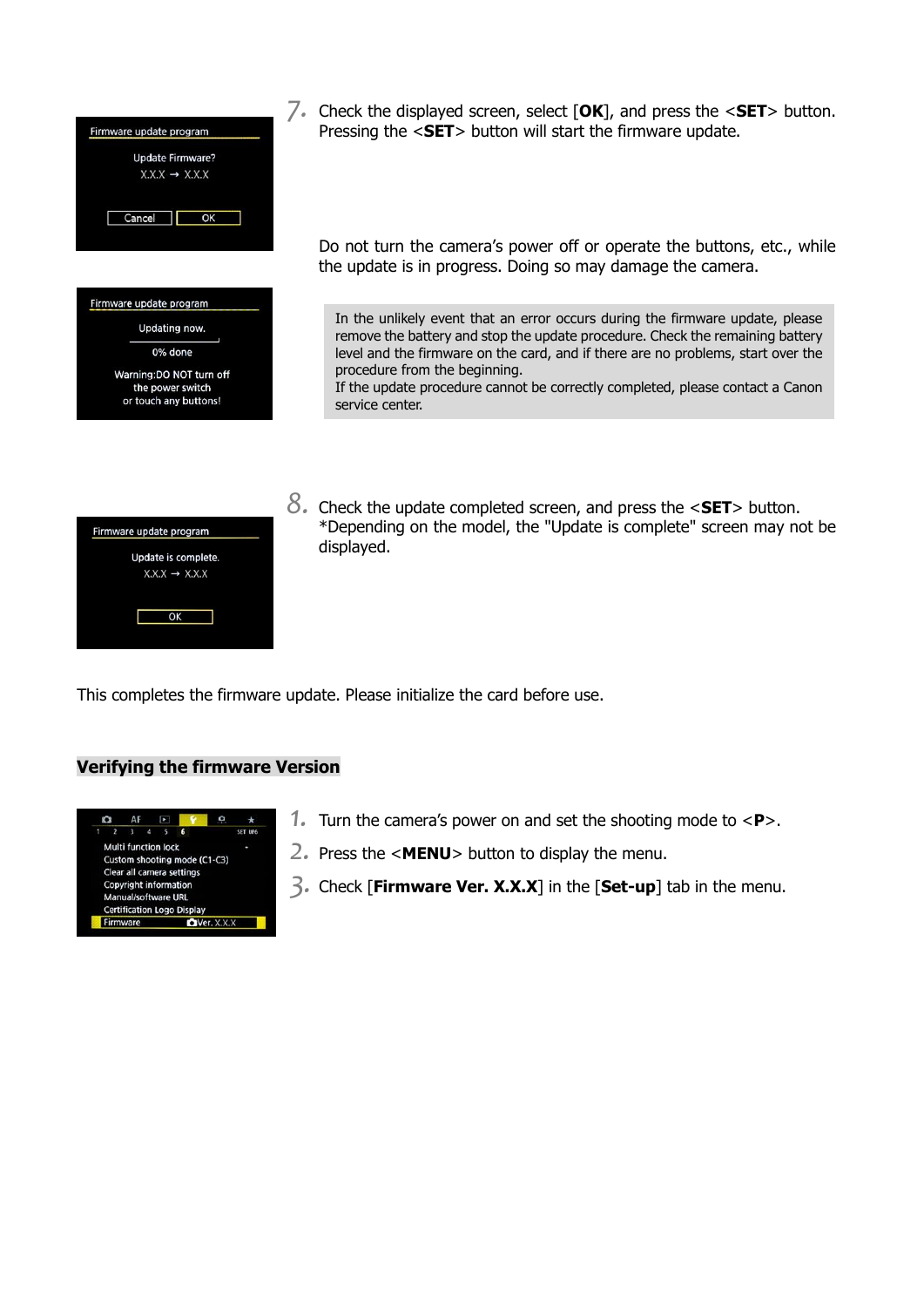

*7.* Check the displayed screen, select [**OK**], and press the <**SET**> button. Pressing the <**SET**> button will start the firmware update.

Do not turn the camera's power off or operate the buttons, etc., while the update is in progress. Doing so may damage the camera.

In the unlikely event that an error occurs during the firmware update, please remove the battery and stop the update procedure. Check the remaining battery level and the firmware on the card, and if there are no problems, start over the procedure from the beginning.

If the update procedure cannot be correctly completed, please contact a Canon service center.

| Firmware update program |                           |  |
|-------------------------|---------------------------|--|
|                         | Update is complete.       |  |
|                         | $X.X.X \rightarrow X.X.X$ |  |
|                         |                           |  |
|                         | ок                        |  |
|                         |                           |  |

*8.* Check the update completed screen, and press the <**SET**> button. \*Depending on the model, the "Update is complete" screen may not be displayed.

This completes the firmware update. Please initialize the card before use.

### **Verifying the firmware Version**



- *1.* Turn the camera's power on and set the shooting mode to <**P**>.
- *2.* Press the <**MENU**> button to display the menu.
- *3.* Check [**Firmware Ver. X.X.X**] in the [**Set-up**] tab in the menu.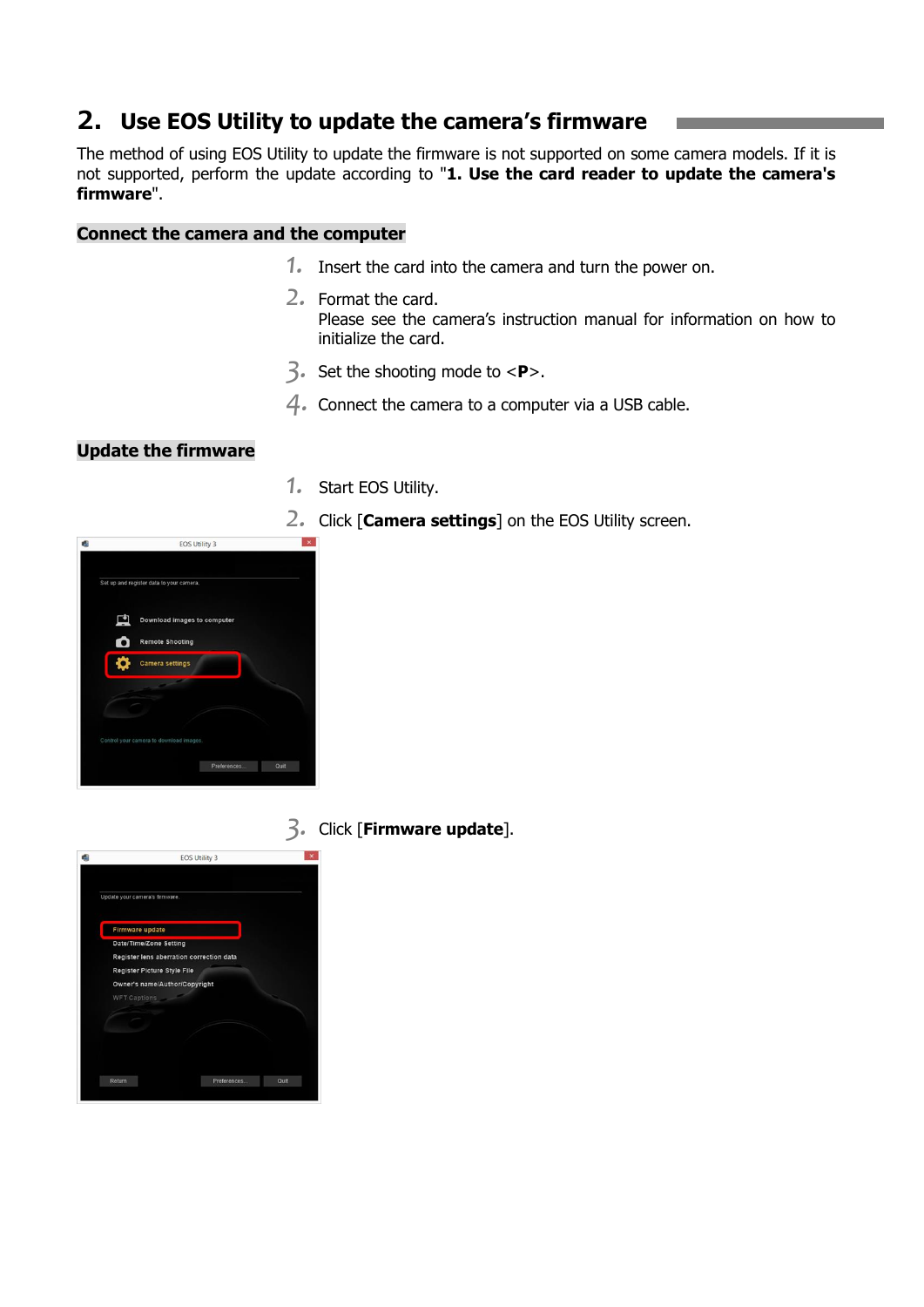# **2. Use EOS Utility to update the camera's firmware**

The method of using EOS Utility to update the firmware is not supported on some camera models. If it is not supported, perform the update according to "**1. Use the card reader to update the camera's firmware**".

#### **Connect the camera and the computer**

- *1.* Insert the card into the camera and turn the power on.
- *2.* Format the card. Please see the camera's instruction manual for information on how to initialize the card.
- *3.* Set the shooting mode to <**P**>.
- *4.* Connect the camera to a computer via a USB cable.

## **Update the firmware**

- *1.* Start EOS Utility.
- *2.* Click [**Camera settings**] on the EOS Utility screen.



*3.* Click [**Firmware update**].

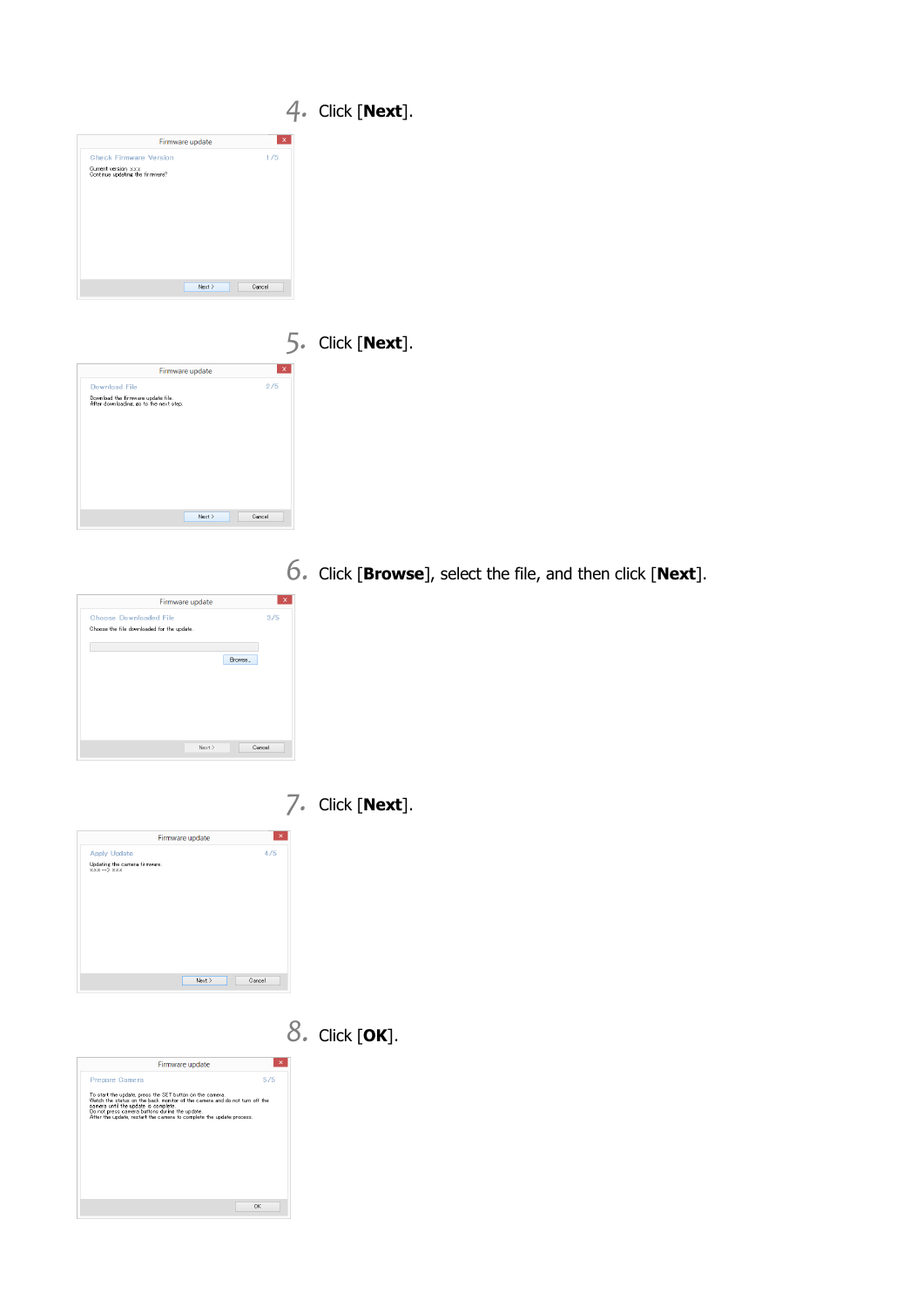|                                                                                                       |                 |                     |  | $4.$ Click [Next]. |
|-------------------------------------------------------------------------------------------------------|-----------------|---------------------|--|--------------------|
|                                                                                                       | Firmware update | $\pmb{\times}$      |  |                    |
| <b>Check Firmware Version</b><br>Current version xxx<br>Continue updating the firmware?               |                 | 1/5                 |  |                    |
|                                                                                                       | Next            | Cancel              |  |                    |
|                                                                                                       |                 |                     |  |                    |
|                                                                                                       |                 |                     |  | $5.$ Click [Next]. |
| <b>Download File</b><br>Download the firmware update file.<br>After downloading, go to the next step. | Firmware update | $\mathbf{x}$<br>2/5 |  |                    |
|                                                                                                       |                 |                     |  |                    |

*6.* Click [**Browse**], select the file, and then click [**Next**].



*7.* Click [**Next**].





*8.* Click [**OK**].